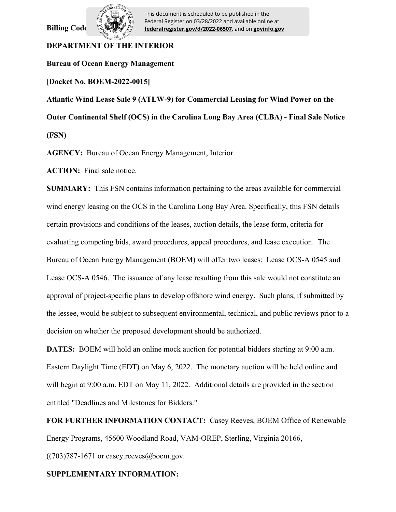**Billing Code** 



This document is scheduled to be published in the Federal Register on 03/28/2022 and available online at **federalregister.gov/d/2022-06507**, and on **govinfo.gov**

# **DEPARTMENT OF THE INTERIOR**

**Bureau of Ocean Energy Management**

**[Docket No. BOEM-2022-0015]**

**Atlantic Wind Lease Sale 9 (ATLW-9) for Commercial Leasing for Wind Power on the Outer Continental Shelf (OCS) in the Carolina Long Bay Area (CLBA) - Final Sale Notice (FSN)**

**AGENCY:** Bureau of Ocean Energy Management, Interior.

**ACTION:** Final sale notice.

**SUMMARY:** This FSN contains information pertaining to the areas available for commercial wind energy leasing on the OCS in the Carolina Long Bay Area. Specifically, this FSN details certain provisions and conditions of the leases, auction details, the lease form, criteria for evaluating competing bids, award procedures, appeal procedures, and lease execution. The Bureau of Ocean Energy Management (BOEM) will offer two leases: Lease OCS-A 0545 and Lease OCS-A 0546. The issuance of any lease resulting from this sale would not constitute an approval of project-specific plans to develop offshore wind energy. Such plans, if submitted by the lessee, would be subject to subsequent environmental, technical, and public reviews prior to a decision on whether the proposed development should be authorized.

**DATES:** BOEM will hold an online mock auction for potential bidders starting at 9:00 a.m. Eastern Daylight Time (EDT) on May 6, 2022. The monetary auction will be held online and will begin at 9:00 a.m. EDT on May 11, 2022. Additional details are provided in the section entitled "Deadlines and Milestones for Bidders."

**FOR FURTHER INFORMATION CONTACT:** Casey Reeves, BOEM Office of Renewable Energy Programs, 45600 Woodland Road, VAM-OREP, Sterling, Virginia 20166,

 $((703)787-1671$  or casey.reeves@boem.gov.

# **SUPPLEMENTARY INFORMATION:**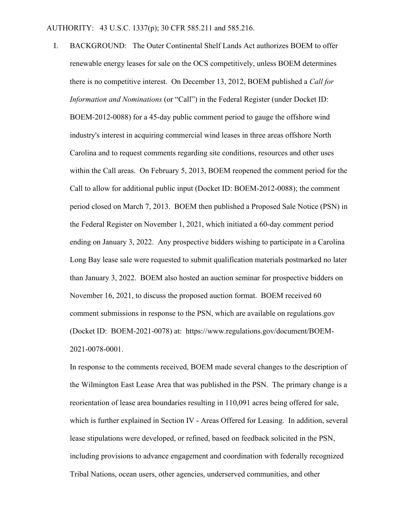I. BACKGROUND: The Outer Continental Shelf Lands Act authorizes BOEM to offer renewable energy leases for sale on the OCS competitively, unless BOEM determines there is no competitive interest. On December 13, 2012, BOEM published a *Call for Information and Nominations* (or "Call") in the Federal Register (under Docket ID: BOEM-2012-0088) for a 45-day public comment period to gauge the offshore wind industry's interest in acquiring commercial wind leases in three areas offshore North Carolina and to request comments regarding site conditions, resources and other uses within the Call areas. On February 5, 2013, BOEM reopened the comment period for the Call to allow for additional public input (Docket ID: BOEM-2012-0088); the comment period closed on March 7, 2013. BOEM then published a Proposed Sale Notice (PSN) in the Federal Register on November 1, 2021, which initiated a 60-day comment period ending on January 3, 2022. Any prospective bidders wishing to participate in a Carolina Long Bay lease sale were requested to submit qualification materials postmarked no later than January 3, 2022. BOEM also hosted an auction seminar for prospective bidders on November 16, 2021, to discuss the proposed auction format. BOEM received 60 comment submissions in response to the PSN, which are available on regulations.gov (Docket ID: BOEM-2021-0078) at: https://www.regulations.gov/document/BOEM-2021-0078-0001.

In response to the comments received, BOEM made several changes to the description of the Wilmington East Lease Area that was published in the PSN. The primary change is a reorientation of lease area boundaries resulting in 110,091 acres being offered for sale, which is further explained in Section IV - Areas Offered for Leasing. In addition, several lease stipulations were developed, or refined, based on feedback solicited in the PSN, including provisions to advance engagement and coordination with federally recognized Tribal Nations, ocean users, other agencies, underserved communities, and other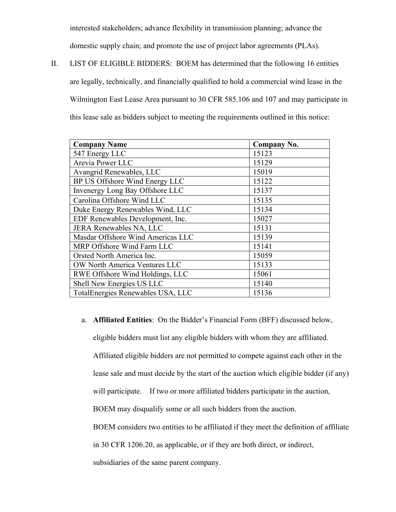interested stakeholders; advance flexibility in transmission planning; advance the

domestic supply chain; and promote the use of project labor agreements (PLAs).

II. LIST OF ELIGIBLE BIDDERS: BOEM has determined that the following 16 entities are legally, technically, and financially qualified to hold a commercial wind lease in the Wilmington East Lease Area pursuant to 30 CFR 585.106 and 107 and may participate in this lease sale as bidders subject to meeting the requirements outlined in this notice:

| <b>Company Name</b>               | <b>Company No.</b> |
|-----------------------------------|--------------------|
| 547 Energy LLC                    | 15123              |
| Arevia Power LLC                  | 15129              |
| Avangrid Renewables, LLC          | 15019              |
| BP US Offshore Wind Energy LLC    | 15122              |
| Invenergy Long Bay Offshore LLC   | 15137              |
| Carolina Offshore Wind LLC        | 15135              |
| Duke Energy Renewables Wind, LLC  | 15134              |
| EDF Renewables Development, Inc.  | 15027              |
| JERA Renewables NA, LLC           | 15131              |
| Masdar Offshore Wind Americas LLC | 15139              |
| MRP Offshore Wind Farm LLC        | 15141              |
| Orsted North America Inc.         | 15059              |
| OW North America Ventures LLC     | 15133              |
| RWE Offshore Wind Holdings, LLC   | 15061              |
| Shell New Energies US LLC         | 15140              |
| TotalEnergies Renewables USA, LLC | 15136              |

a. **Affiliated Entities**: On the Bidder's Financial Form (BFF) discussed below, eligible bidders must list any eligible bidders with whom they are affiliated. Affiliated eligible bidders are not permitted to compete against each other in the lease sale and must decide by the start of the auction which eligible bidder (if any) will participate. If two or more affiliated bidders participate in the auction, BOEM may disqualify some or all such bidders from the auction. BOEM considers two entities to be affiliated if they meet the definition of affiliate in 30 CFR 1206.20, as applicable, or if they are both direct, or indirect,

subsidiaries of the same parent company.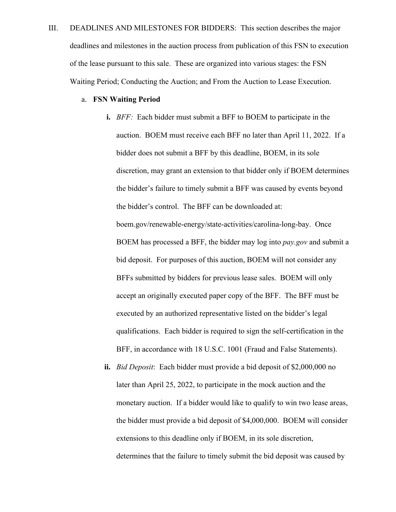III. DEADLINES AND MILESTONES FOR BIDDERS: This section describes the major deadlines and milestones in the auction process from publication of this FSN to execution of the lease pursuant to this sale. These are organized into various stages: the FSN Waiting Period; Conducting the Auction; and From the Auction to Lease Execution.

#### a. **FSN Waiting Period**

**i.** *BFF:* Each bidder must submit a BFF to BOEM to participate in the auction. BOEM must receive each BFF no later than April 11, 2022. If a bidder does not submit a BFF by this deadline, BOEM, in its sole discretion, may grant an extension to that bidder only if BOEM determines the bidder's failure to timely submit a BFF was caused by events beyond the bidder's control. The BFF can be downloaded at: boem.gov/renewable-energy/state-activities/carolina-long-bay. Once BOEM has processed a BFF, the bidder may log into *pay.gov* and submit a bid deposit. For purposes of this auction, BOEM will not consider any BFFs submitted by bidders for previous lease sales. BOEM will only accept an originally executed paper copy of the BFF. The BFF must be executed by an authorized representative listed on the bidder's legal qualifications. Each bidder is required to sign the self-certification in the BFF, in accordance with 18 U.S.C. 1001 (Fraud and False Statements).

**ii.** *Bid Deposit*: Each bidder must provide a bid deposit of \$2,000,000 no later than April 25, 2022, to participate in the mock auction and the monetary auction. If a bidder would like to qualify to win two lease areas, the bidder must provide a bid deposit of \$4,000,000. BOEM will consider extensions to this deadline only if BOEM, in its sole discretion, determines that the failure to timely submit the bid deposit was caused by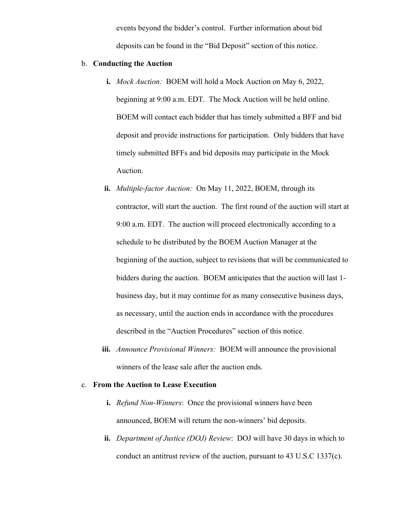events beyond the bidder's control. Further information about bid deposits can be found in the "Bid Deposit" section of this notice.

#### b. **Conducting the Auction**

- **i.** *Mock Auction:* BOEM will hold a Mock Auction on May 6, 2022, beginning at 9:00 a.m. EDT. The Mock Auction will be held online. BOEM will contact each bidder that has timely submitted a BFF and bid deposit and provide instructions for participation. Only bidders that have timely submitted BFFs and bid deposits may participate in the Mock Auction.
- **ii.** *Multiple-factor Auction:* On May 11, 2022, BOEM, through its contractor, will start the auction. The first round of the auction will start at 9:00 a.m. EDT. The auction will proceed electronically according to a schedule to be distributed by the BOEM Auction Manager at the beginning of the auction, subject to revisions that will be communicated to bidders during the auction. BOEM anticipates that the auction will last 1 business day, but it may continue for as many consecutive business days, as necessary, until the auction ends in accordance with the procedures described in the "Auction Procedures" section of this notice.
- **iii.** *Announce Provisional Winners:* BOEM will announce the provisional winners of the lease sale after the auction ends.

#### c. **From the Auction to Lease Execution**

- **i.** *Refund Non-Winners*: Once the provisional winners have been announced, BOEM will return the non-winners' bid deposits.
- **ii.** *Department of Justice (DOJ) Review*: DOJ will have 30 days in which to conduct an antitrust review of the auction, pursuant to 43 U.S.C 1337(c).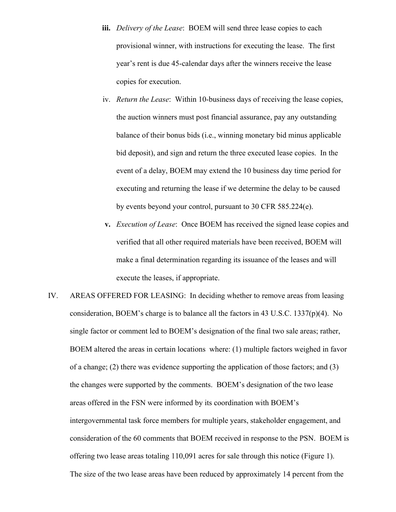- **iii.** *Delivery of the Lease*: BOEM will send three lease copies to each provisional winner, with instructions for executing the lease. The first year's rent is due 45-calendar days after the winners receive the lease copies for execution.
- iv. *Return the Lease*: Within 10-business days of receiving the lease copies, the auction winners must post financial assurance, pay any outstanding balance of their bonus bids (i.e., winning monetary bid minus applicable bid deposit), and sign and return the three executed lease copies. In the event of a delay, BOEM may extend the 10 business day time period for executing and returning the lease if we determine the delay to be caused by events beyond your control, pursuant to 30 CFR 585.224(e).
- **v.** *Execution of Lease*: Once BOEM has received the signed lease copies and verified that all other required materials have been received, BOEM will make a final determination regarding its issuance of the leases and will execute the leases, if appropriate.
- IV. AREAS OFFERED FOR LEASING: In deciding whether to remove areas from leasing consideration, BOEM's charge is to balance all the factors in 43 U.S.C. 1337 $(p)(4)$ . No single factor or comment led to BOEM's designation of the final two sale areas; rather, BOEM altered the areas in certain locations where: (1) multiple factors weighed in favor of a change; (2) there was evidence supporting the application of those factors; and (3) the changes were supported by the comments. BOEM's designation of the two lease areas offered in the FSN were informed by its coordination with BOEM's intergovernmental task force members for multiple years, stakeholder engagement, and consideration of the 60 comments that BOEM received in response to the PSN. BOEM is offering two lease areas totaling 110,091 acres for sale through this notice (Figure 1). The size of the two lease areas have been reduced by approximately 14 percent from the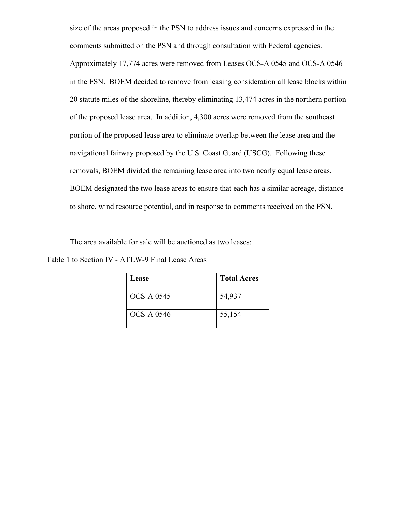size of the areas proposed in the PSN to address issues and concerns expressed in the comments submitted on the PSN and through consultation with Federal agencies. Approximately 17,774 acres were removed from Leases OCS-A 0545 and OCS-A 0546 in the FSN. BOEM decided to remove from leasing consideration all lease blocks within 20 statute miles of the shoreline, thereby eliminating 13,474 acres in the northern portion of the proposed lease area. In addition, 4,300 acres were removed from the southeast portion of the proposed lease area to eliminate overlap between the lease area and the navigational fairway proposed by the U.S. Coast Guard (USCG). Following these removals, BOEM divided the remaining lease area into two nearly equal lease areas. BOEM designated the two lease areas to ensure that each has a similar acreage, distance to shore, wind resource potential, and in response to comments received on the PSN.

The area available for sale will be auctioned as two leases:

Table 1 to Section IV - ATLW-9 Final Lease Areas

| Lease             | <b>Total Acres</b> |
|-------------------|--------------------|
| OCS-A 0545        | 54,937             |
| <b>OCS-A 0546</b> | 55,154             |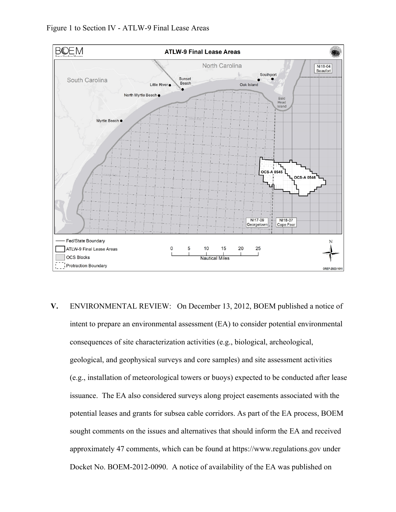

**V.** ENVIRONMENTAL REVIEW: On December 13, 2012, BOEM published a notice of intent to prepare an environmental assessment (EA) to consider potential environmental consequences of site characterization activities (e.g., biological, archeological, geological, and geophysical surveys and core samples) and site assessment activities (e.g., installation of meteorological towers or buoys) expected to be conducted after lease issuance. The EA also considered surveys along project easements associated with the potential leases and grants for subsea cable corridors. As part of the EA process, BOEM sought comments on the issues and alternatives that should inform the EA and received approximately 47 comments, which can be found at https://www.regulations.gov under Docket No. BOEM-2012-0090. A notice of availability of the EA was published on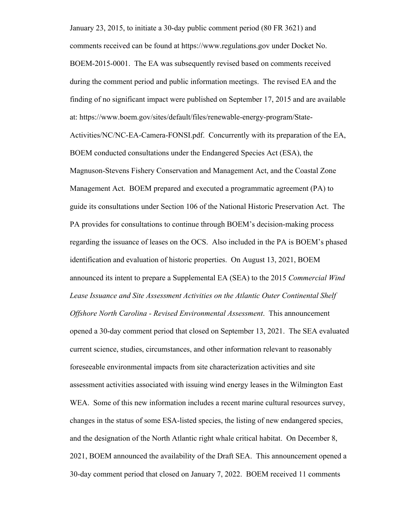January 23, 2015, to initiate a 30-day public comment period (80 FR 3621) and comments received can be found at https://www.regulations.gov under Docket No. BOEM-2015-0001. The EA was subsequently revised based on comments received during the comment period and public information meetings. The revised EA and the finding of no significant impact were published on September 17, 2015 and are available at: https://www.boem.gov/sites/default/files/renewable-energy-program/State-Activities/NC/NC-EA-Camera-FONSI.pdf. Concurrently with its preparation of the EA, BOEM conducted consultations under the Endangered Species Act (ESA), the Magnuson-Stevens Fishery Conservation and Management Act, and the Coastal Zone Management Act. BOEM prepared and executed a programmatic agreement (PA) to guide its consultations under Section 106 of the National Historic Preservation Act. The PA provides for consultations to continue through BOEM's decision-making process regarding the issuance of leases on the OCS. Also included in the PA is BOEM's phased identification and evaluation of historic properties. On August 13, 2021, BOEM announced its intent to prepare a Supplemental EA (SEA) to the 2015 *Commercial Wind Lease Issuance and Site Assessment Activities on the Atlantic Outer Continental Shelf Offshore North Carolina - Revised Environmental Assessment*. This announcement opened a 30-day comment period that closed on September 13, 2021. The SEA evaluated current science, studies, circumstances, and other information relevant to reasonably foreseeable environmental impacts from site characterization activities and site assessment activities associated with issuing wind energy leases in the Wilmington East WEA. Some of this new information includes a recent marine cultural resources survey, changes in the status of some ESA-listed species, the listing of new endangered species, and the designation of the North Atlantic right whale critical habitat. On December 8, 2021, BOEM announced the availability of the Draft SEA. This announcement opened a 30-day comment period that closed on January 7, 2022. BOEM received 11 comments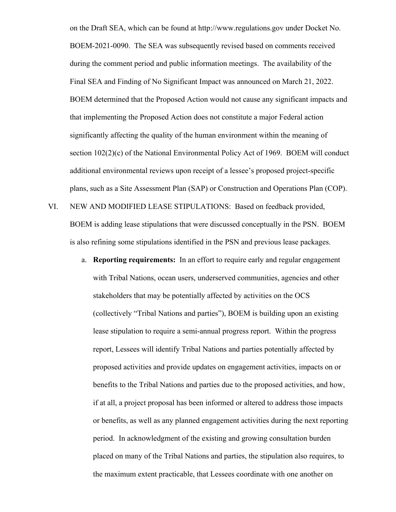on the Draft SEA, which can be found at http://www.regulations.gov under Docket No. BOEM-2021-0090. The SEA was subsequently revised based on comments received during the comment period and public information meetings. The availability of the Final SEA and Finding of No Significant Impact was announced on March 21, 2022. BOEM determined that the Proposed Action would not cause any significant impacts and that implementing the Proposed Action does not constitute a major Federal action significantly affecting the quality of the human environment within the meaning of section 102(2)(c) of the National Environmental Policy Act of 1969. BOEM will conduct additional environmental reviews upon receipt of a lessee's proposed project-specific plans, such as a Site Assessment Plan (SAP) or Construction and Operations Plan (COP).

- VI. NEW AND MODIFIED LEASE STIPULATIONS:Based on feedback provided, BOEM is adding lease stipulations that were discussed conceptually in the PSN. BOEM is also refining some stipulations identified in the PSN and previous lease packages.
	- a. **Reporting requirements:** In an effort to require early and regular engagement with Tribal Nations, ocean users, underserved communities, agencies and other stakeholders that may be potentially affected by activities on the OCS (collectively "Tribal Nations and parties"), BOEM is building upon an existing lease stipulation to require a semi-annual progress report. Within the progress report, Lessees will identify Tribal Nations and parties potentially affected by proposed activities and provide updates on engagement activities, impacts on or benefits to the Tribal Nations and parties due to the proposed activities, and how, if at all, a project proposal has been informed or altered to address those impacts or benefits, as well as any planned engagement activities during the next reporting period. In acknowledgment of the existing and growing consultation burden placed on many of the Tribal Nations and parties, the stipulation also requires, to the maximum extent practicable, that Lessees coordinate with one another on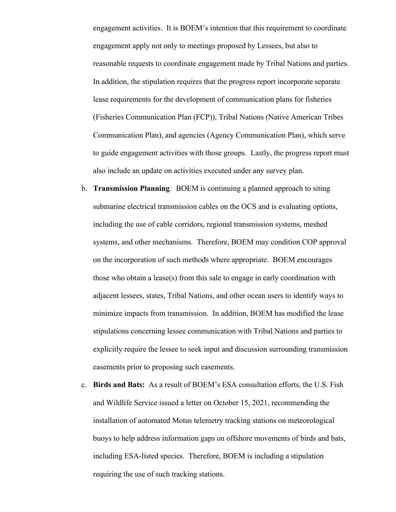engagement activities. It is BOEM's intention that this requirement to coordinate engagement apply not only to meetings proposed by Lessees, but also to reasonable requests to coordinate engagement made by Tribal Nations and parties. In addition, the stipulation requires that the progress report incorporate separate lease requirements for the development of communication plans for fisheries (Fisheries Communication Plan (FCP)), Tribal Nations (Native American Tribes Communication Plan), and agencies (Agency Communication Plan), which serve to guide engagement activities with those groups. Lastly, the progress report must also include an update on activities executed under any survey plan.

- b. **Transmission Planning***:* BOEM is continuing a planned approach to siting submarine electrical transmission cables on the OCS and is evaluating options, including the use of cable corridors, regional transmission systems, meshed systems, and other mechanisms. Therefore, BOEM may condition COP approval on the incorporation of such methods where appropriate. BOEM encourages those who obtain a lease(s) from this sale to engage in early coordination with adjacent lessees, states, Tribal Nations, and other ocean users to identify ways to minimize impacts from transmission. In addition, BOEM has modified the lease stipulations concerning lessee communication with Tribal Nations and parties to explicitly require the lessee to seek input and discussion surrounding transmission easements prior to proposing such easements.
- c. **Birds and Bats:**As a result of BOEM's ESA consultation efforts, the U.S. Fish and Wildlife Service issued a letter on October 15, 2021, recommending the installation of automated Motus telemetry tracking stations on meteorological buoys to help address information gaps on offshore movements of birds and bats, including ESA-listed species. Therefore, BOEM is including a stipulation requiring the use of such tracking stations.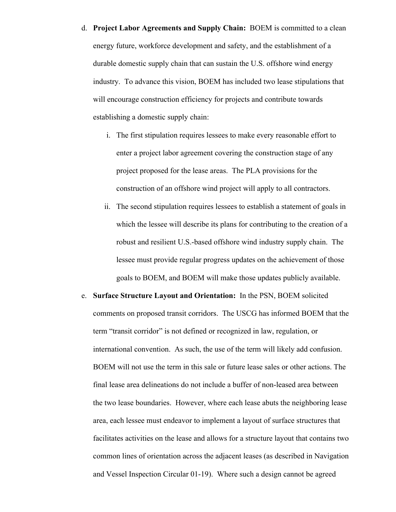# d. **Project Labor Agreements and Supply Chain:** BOEM is committed to a clean energy future, workforce development and safety, and the establishment of a durable domestic supply chain that can sustain the U.S. offshore wind energy industry. To advance this vision, BOEM has included two lease stipulations that will encourage construction efficiency for projects and contribute towards establishing a domestic supply chain:

- i. The first stipulation requires lessees to make every reasonable effort to enter a project labor agreement covering the construction stage of any project proposed for the lease areas. The PLA provisions for the construction of an offshore wind project will apply to all contractors.
- ii. The second stipulation requires lessees to establish a statement of goals in which the lessee will describe its plans for contributing to the creation of a robust and resilient U.S.-based offshore wind industry supply chain. The lessee must provide regular progress updates on the achievement of those goals to BOEM, and BOEM will make those updates publicly available.
- e. **Surface Structure Layout and Orientation:** In the PSN, BOEM solicited comments on proposed transit corridors. The USCG has informed BOEM that the term "transit corridor" is not defined or recognized in law, regulation, or international convention. As such, the use of the term will likely add confusion. BOEM will not use the term in this sale or future lease sales or other actions. The final lease area delineations do not include a buffer of non-leased area between the two lease boundaries. However, where each lease abuts the neighboring lease area, each lessee must endeavor to implement a layout of surface structures that facilitates activities on the lease and allows for a structure layout that contains two common lines of orientation across the adjacent leases (as described in Navigation and Vessel Inspection Circular 01-19). Where such a design cannot be agreed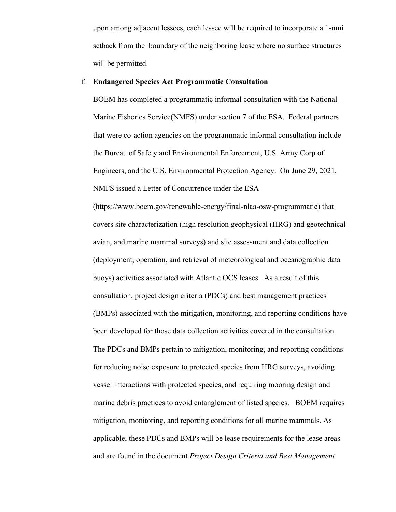upon among adjacent lessees, each lessee will be required to incorporate a 1-nmi setback from the boundary of the neighboring lease where no surface structures will be permitted.

#### f. **Endangered Species Act Programmatic Consultation**

BOEM has completed a programmatic informal consultation with the National Marine Fisheries Service(NMFS) under section 7 of the ESA. Federal partners that were co-action agencies on the programmatic informal consultation include the Bureau of Safety and Environmental Enforcement, U.S. Army Corp of Engineers, and the U.S. Environmental Protection Agency. On June 29, 2021, NMFS issued a Letter of Concurrence under the ESA

(https://www.boem.gov/renewable-energy/final-nlaa-osw-programmatic) that covers site characterization (high resolution geophysical (HRG) and geotechnical avian, and marine mammal surveys) and site assessment and data collection (deployment, operation, and retrieval of meteorological and oceanographic data buoys) activities associated with Atlantic OCS leases. As a result of this consultation, project design criteria (PDCs) and best management practices (BMPs) associated with the mitigation, monitoring, and reporting conditions have been developed for those data collection activities covered in the consultation. The PDCs and BMPs pertain to mitigation, monitoring, and reporting conditions for reducing noise exposure to protected species from HRG surveys, avoiding vessel interactions with protected species, and requiring mooring design and marine debris practices to avoid entanglement of listed species. BOEM requires mitigation, monitoring, and reporting conditions for all marine mammals. As applicable, these PDCs and BMPs will be lease requirements for the lease areas and are found in the document *Project Design Criteria and Best Management*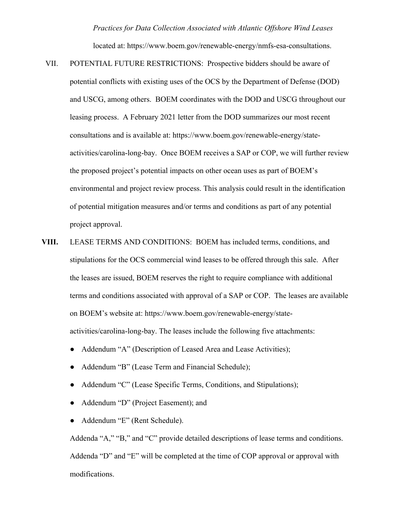*Practices for Data Collection Associated with Atlantic Offshore Wind Leases*

located at: https://www.boem.gov/renewable-energy/nmfs-esa-consultations.

- VII. POTENTIAL FUTURE RESTRICTIONS: Prospective bidders should be aware of potential conflicts with existing uses of the OCS by the Department of Defense (DOD) and USCG, among others. BOEM coordinates with the DOD and USCG throughout our leasing process. A February 2021 letter from the DOD summarizes our most recent consultations and is available at: https://www.boem.gov/renewable-energy/stateactivities/carolina-long-bay. Once BOEM receives a SAP or COP, we will further review the proposed project's potential impacts on other ocean uses as part of BOEM's environmental and project review process. This analysis could result in the identification of potential mitigation measures and/or terms and conditions as part of any potential project approval.
- **VIII.** LEASE TERMS AND CONDITIONS: BOEM has included terms, conditions, and stipulations for the OCS commercial wind leases to be offered through this sale. After the leases are issued, BOEM reserves the right to require compliance with additional terms and conditions associated with approval of a SAP or COP. The leases are available on BOEM's website at: https://www.boem.gov/renewable-energy/stateactivities/carolina-long-bay. The leases include the following five attachments:
	- Addendum "A" (Description of Leased Area and Lease Activities);
	- Addendum "B" (Lease Term and Financial Schedule);
	- Addendum "C" (Lease Specific Terms, Conditions, and Stipulations);
	- Addendum "D" (Project Easement); and
	- Addendum "E" (Rent Schedule).

Addenda "A," "B," and "C" provide detailed descriptions of lease terms and conditions. Addenda "D" and "E" will be completed at the time of COP approval or approval with modifications.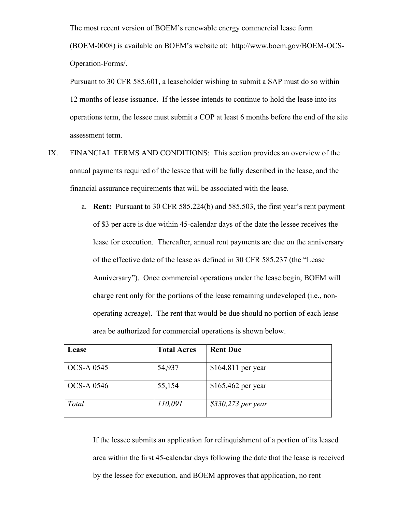The most recent version of BOEM's renewable energy commercial lease form (BOEM-0008) is available on BOEM's website at: http://www.boem.gov/BOEM-OCS-Operation-Forms/.

Pursuant to 30 CFR 585.601, a leaseholder wishing to submit a SAP must do so within 12 months of lease issuance. If the lessee intends to continue to hold the lease into its operations term, the lessee must submit a COP at least 6 months before the end of the site assessment term.

- IX. FINANCIAL TERMS AND CONDITIONS: This section provides an overview of the annual payments required of the lessee that will be fully described in the lease, and the financial assurance requirements that will be associated with the lease.
	- a. **Rent:** Pursuant to 30 CFR 585.224(b) and 585.503, the first year's rent payment of \$3 per acre is due within 45-calendar days of the date the lessee receives the lease for execution. Thereafter, annual rent payments are due on the anniversary of the effective date of the lease as defined in 30 CFR 585.237 (the "Lease Anniversary"). Once commercial operations under the lease begin, BOEM will charge rent only for the portions of the lease remaining undeveloped (i.e., nonoperating acreage). The rent that would be due should no portion of each lease area be authorized for commercial operations is shown below.

| Lease             | <b>Total Acres</b> | <b>Rent Due</b>     |
|-------------------|--------------------|---------------------|
| <b>OCS-A 0545</b> | 54,937             | \$164,811 per year  |
| <b>OCS-A 0546</b> | 55,154             | $$165,462$ per year |
| Total             | 110,091            | \$330,273 per year  |

If the lessee submits an application for relinquishment of a portion of its leased area within the first 45-calendar days following the date that the lease is received by the lessee for execution, and BOEM approves that application, no rent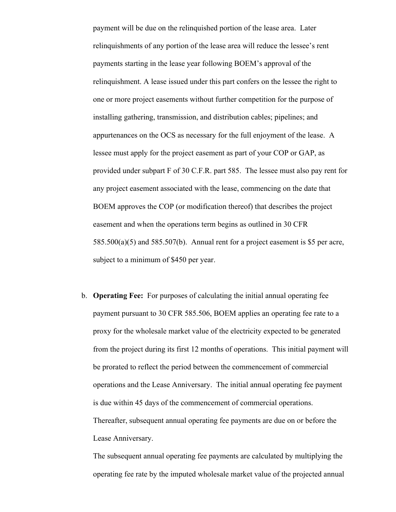payment will be due on the relinquished portion of the lease area. Later relinquishments of any portion of the lease area will reduce the lessee's rent payments starting in the lease year following BOEM's approval of the relinquishment. A lease issued under this part confers on the lessee the right to one or more project easements without further competition for the purpose of installing gathering, transmission, and distribution cables; pipelines; and appurtenances on the OCS as necessary for the full enjoyment of the lease. A lessee must apply for the project easement as part of your COP or GAP, as provided under subpart F of 30 C.F.R. part 585. The lessee must also pay rent for any project easement associated with the lease, commencing on the date that BOEM approves the COP (or modification thereof) that describes the project easement and when the operations term begins as outlined in 30 CFR  $585.500(a)(5)$  and  $585.507(b)$ . Annual rent for a project easement is \$5 per acre, subject to a minimum of \$450 per year.

b. **Operating Fee:** For purposes of calculating the initial annual operating fee payment pursuant to 30 CFR 585.506, BOEM applies an operating fee rate to a proxy for the wholesale market value of the electricity expected to be generated from the project during its first 12 months of operations. This initial payment will be prorated to reflect the period between the commencement of commercial operations and the Lease Anniversary. The initial annual operating fee payment is due within 45 days of the commencement of commercial operations. Thereafter, subsequent annual operating fee payments are due on or before the Lease Anniversary.

The subsequent annual operating fee payments are calculated by multiplying the operating fee rate by the imputed wholesale market value of the projected annual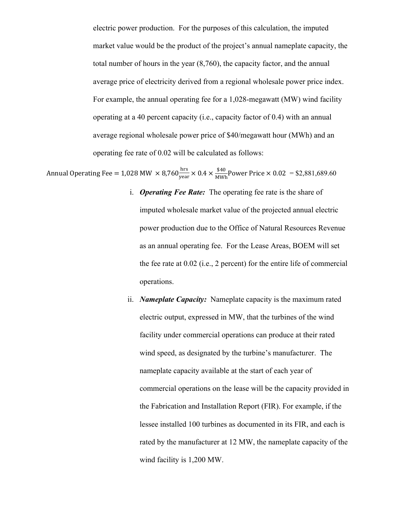electric power production. For the purposes of this calculation, the imputed market value would be the product of the project's annual nameplate capacity, the total number of hours in the year (8,760), the capacity factor, and the annual average price of electricity derived from a regional wholesale power price index. For example, the annual operating fee for a 1,028-megawatt (MW) wind facility operating at a 40 percent capacity (i.e., capacity factor of 0.4) with an annual average regional wholesale power price of \$40/megawatt hour (MWh) and an operating fee rate of 0.02 will be calculated as follows:

Annual Operating Fee = 1,028 MW  $\times$  8,760 $\frac{\text{hrs}}{\text{year}}$  $\frac{\text{hrs}}{\text{year}}$   $\times$  0.4  $\times$   $\frac{$40}{\text{MWh}}$ Power Price  $\times$  0.02 = \$2,881,689.60

- i. *Operating Fee Rate:* The operating fee rate is the share of imputed wholesale market value of the projected annual electric power production due to the Office of Natural Resources Revenue as an annual operating fee. For the Lease Areas, BOEM will set the fee rate at 0.02 (i.e., 2 percent) for the entire life of commercial operations.
- ii. *Nameplate Capacity:* Nameplate capacity is the maximum rated electric output, expressed in MW, that the turbines of the wind facility under commercial operations can produce at their rated wind speed, as designated by the turbine's manufacturer. The nameplate capacity available at the start of each year of commercial operations on the lease will be the capacity provided in the Fabrication and Installation Report (FIR). For example, if the lessee installed 100 turbines as documented in its FIR, and each is rated by the manufacturer at 12 MW, the nameplate capacity of the wind facility is 1,200 MW.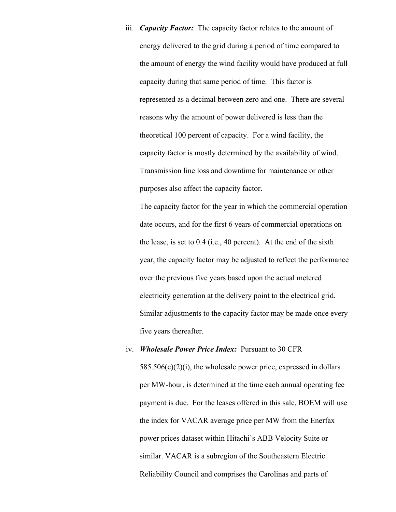iii. *Capacity Factor:* The capacity factor relates to the amount of energy delivered to the grid during a period of time compared to the amount of energy the wind facility would have produced at full capacity during that same period of time. This factor is represented as a decimal between zero and one. There are several reasons why the amount of power delivered is less than the theoretical 100 percent of capacity. For a wind facility, the capacity factor is mostly determined by the availability of wind. Transmission line loss and downtime for maintenance or other purposes also affect the capacity factor.

The capacity factor for the year in which the commercial operation date occurs, and for the first 6 years of commercial operations on the lease, is set to 0.4 (i.e., 40 percent). At the end of the sixth year, the capacity factor may be adjusted to reflect the performance over the previous five years based upon the actual metered electricity generation at the delivery point to the electrical grid. Similar adjustments to the capacity factor may be made once every five years thereafter.

### iv. *Wholesale Power Price Index:* Pursuant to 30 CFR

 $585.506(c)(2)(i)$ , the wholesale power price, expressed in dollars per MW-hour, is determined at the time each annual operating fee payment is due. For the leases offered in this sale, BOEM will use the index for VACAR average price per MW from the Enerfax power prices dataset within Hitachi's ABB Velocity Suite or similar. VACAR is a subregion of the Southeastern Electric Reliability Council and comprises the Carolinas and parts of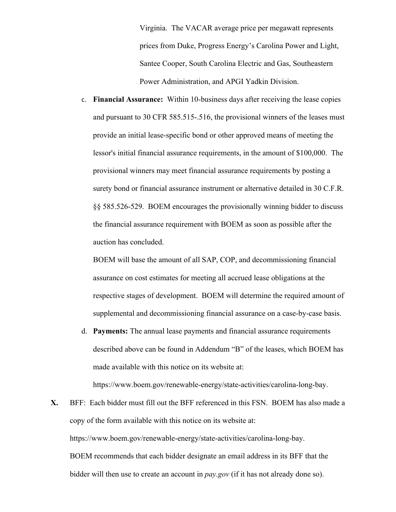Virginia. The VACAR average price per megawatt represents prices from Duke, Progress Energy's Carolina Power and Light, Santee Cooper, South Carolina Electric and Gas, Southeastern Power Administration, and APGI Yadkin Division.

c. **Financial Assurance:** Within 10-business days after receiving the lease copies and pursuant to 30 CFR 585.515-.516, the provisional winners of the leases must provide an initial lease-specific bond or other approved means of meeting the lessor's initial financial assurance requirements, in the amount of \$100,000. The provisional winners may meet financial assurance requirements by posting a surety bond or financial assurance instrument or alternative detailed in 30 C.F.R. §§ 585.526-529. BOEM encourages the provisionally winning bidder to discuss the financial assurance requirement with BOEM as soon as possible after the auction has concluded.

BOEM will base the amount of all SAP, COP, and decommissioning financial assurance on cost estimates for meeting all accrued lease obligations at the respective stages of development. BOEM will determine the required amount of supplemental and decommissioning financial assurance on a case-by-case basis.

d. **Payments:** The annual lease payments and financial assurance requirements described above can be found in Addendum "B" of the leases, which BOEM has made available with this notice on its website at:

https://www.boem.gov/renewable-energy/state-activities/carolina-long-bay.

**X.** BFF: Each bidder must fill out the BFF referenced in this FSN. BOEM has also made a copy of the form available with this notice on its website at: https://www.boem.gov/renewable-energy/state-activities/carolina-long-bay. BOEM recommends that each bidder designate an email address in its BFF that the bidder will then use to create an account in *pay.gov* (if it has not already done so).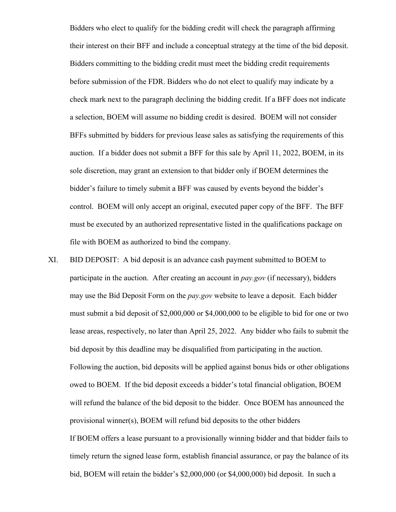Bidders who elect to qualify for the bidding credit will check the paragraph affirming their interest on their BFF and include a conceptual strategy at the time of the bid deposit. Bidders committing to the bidding credit must meet the bidding credit requirements before submission of the FDR. Bidders who do not elect to qualify may indicate by a check mark next to the paragraph declining the bidding credit. If a BFF does not indicate a selection, BOEM will assume no bidding credit is desired. BOEM will not consider BFFs submitted by bidders for previous lease sales as satisfying the requirements of this auction. If a bidder does not submit a BFF for this sale by April 11, 2022, BOEM, in its sole discretion, may grant an extension to that bidder only if BOEM determines the bidder's failure to timely submit a BFF was caused by events beyond the bidder's control. BOEM will only accept an original, executed paper copy of the BFF. The BFF must be executed by an authorized representative listed in the qualifications package on file with BOEM as authorized to bind the company.

XI. BID DEPOSIT: A bid deposit is an advance cash payment submitted to BOEM to participate in the auction. After creating an account in *pay.gov* (if necessary), bidders may use the Bid Deposit Form on the *pay.gov* website to leave a deposit. Each bidder must submit a bid deposit of \$2,000,000 or \$4,000,000 to be eligible to bid for one or two lease areas, respectively, no later than April 25, 2022. Any bidder who fails to submit the bid deposit by this deadline may be disqualified from participating in the auction. Following the auction, bid deposits will be applied against bonus bids or other obligations owed to BOEM. If the bid deposit exceeds a bidder's total financial obligation, BOEM will refund the balance of the bid deposit to the bidder. Once BOEM has announced the provisional winner(s), BOEM will refund bid deposits to the other bidders If BOEM offers a lease pursuant to a provisionally winning bidder and that bidder fails to timely return the signed lease form, establish financial assurance, or pay the balance of its bid, BOEM will retain the bidder's \$2,000,000 (or \$4,000,000) bid deposit. In such a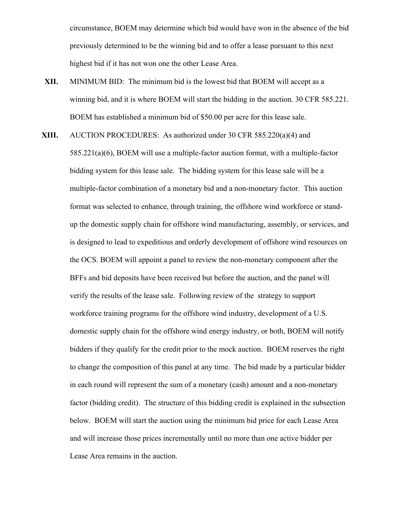circumstance, BOEM may determine which bid would have won in the absence of the bid previously determined to be the winning bid and to offer a lease pursuant to this next highest bid if it has not won one the other Lease Area.

- **XII.** MINIMUM BID: The minimum bid is the lowest bid that BOEM will accept as a winning bid, and it is where BOEM will start the bidding in the auction. 30 CFR 585.221. BOEM has established a minimum bid of \$50.00 per acre for this lease sale.
- **XIII.** AUCTION PROCEDURES: As authorized under 30 CFR 585.220(a)(4) and
	- 585.221(a)(6), BOEM will use a multiple-factor auction format, with a multiple-factor bidding system for this lease sale. The bidding system for this lease sale will be a multiple-factor combination of a monetary bid and a non-monetary factor. This auction format was selected to enhance, through training, the offshore wind workforce or standup the domestic supply chain for offshore wind manufacturing, assembly, or services, and is designed to lead to expeditious and orderly development of offshore wind resources on the OCS. BOEM will appoint a panel to review the non-monetary component after the BFFs and bid deposits have been received but before the auction, and the panel will verify the results of the lease sale. Following review of the strategy to support workforce training programs for the offshore wind industry, development of a U.S. domestic supply chain for the offshore wind energy industry, or both, BOEM will notify bidders if they qualify for the credit prior to the mock auction. BOEM reserves the right to change the composition of this panel at any time. The bid made by a particular bidder in each round will represent the sum of a monetary (cash) amount and a non-monetary factor (bidding credit). The structure of this bidding credit is explained in the subsection below. BOEM will start the auction using the minimum bid price for each Lease Area and will increase those prices incrementally until no more than one active bidder per Lease Area remains in the auction.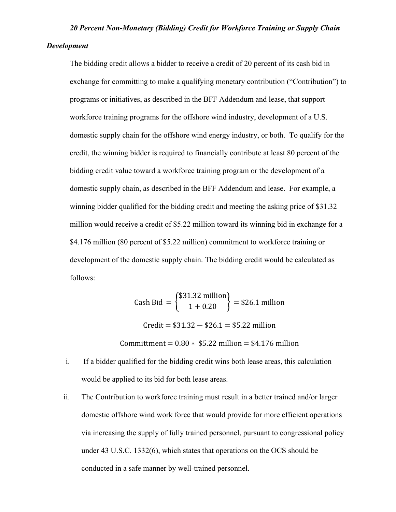## *20 Percent Non-Monetary (Bidding) Credit for Workforce Training or Supply Chain*

#### *Development*

The bidding credit allows a bidder to receive a credit of 20 percent of its cash bid in exchange for committing to make a qualifying monetary contribution ("Contribution") to programs or initiatives, as described in the BFF Addendum and lease, that support workforce training programs for the offshore wind industry, development of a U.S. domestic supply chain for the offshore wind energy industry, or both. To qualify for the credit, the winning bidder is required to financially contribute at least 80 percent of the bidding credit value toward a workforce training program or the development of a domestic supply chain, as described in the BFF Addendum and lease. For example, a winning bidder qualified for the bidding credit and meeting the asking price of \$31.32 million would receive a credit of \$5.22 million toward its winning bid in exchange for a \$4.176 million (80 percent of \$5.22 million) commitment to workforce training or development of the domestic supply chain. The bidding credit would be calculated as follows:

Cash Bid = 
$$
\left\{ \frac{\$31.32 \text{ million}}{1 + 0.20} \right\}
$$
 = \$26.1 million  
Credit = \$31.32 - \$26.1 = \$5.22 million

Committment =  $0.80 * $5.22$  million = \$4.176 million

- i. If a bidder qualified for the bidding credit wins both lease areas, this calculation would be applied to its bid for both lease areas.
- ii. The Contribution to workforce training must result in a better trained and/or larger domestic offshore wind work force that would provide for more efficient operations via increasing the supply of fully trained personnel, pursuant to congressional policy under 43 U.S.C. 1332(6), which states that operations on the OCS should be conducted in a safe manner by well-trained personnel.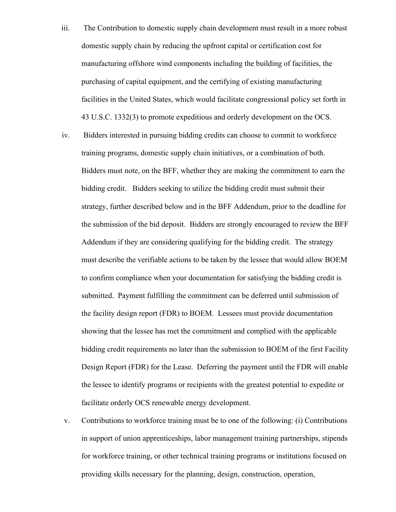- iii. The Contribution to domestic supply chain development must result in a more robust domestic supply chain by reducing the upfront capital or certification cost for manufacturing offshore wind components including the building of facilities, the purchasing of capital equipment, and the certifying of existing manufacturing facilities in the United States, which would facilitate congressional policy set forth in 43 U.S.C. 1332(3) to promote expeditious and orderly development on the OCS.
- iv. Bidders interested in pursuing bidding credits can choose to commit to workforce training programs, domestic supply chain initiatives, or a combination of both. Bidders must note, on the BFF, whether they are making the commitment to earn the bidding credit. Bidders seeking to utilize the bidding credit must submit their strategy, further described below and in the BFF Addendum, prior to the deadline for the submission of the bid deposit. Bidders are strongly encouraged to review the BFF Addendum if they are considering qualifying for the bidding credit. The strategy must describe the verifiable actions to be taken by the lessee that would allow BOEM to confirm compliance when your documentation for satisfying the bidding credit is submitted. Payment fulfilling the commitment can be deferred until submission of the facility design report (FDR) to BOEM. Lessees must provide documentation showing that the lessee has met the commitment and complied with the applicable bidding credit requirements no later than the submission to BOEM of the first Facility Design Report (FDR) for the Lease. Deferring the payment until the FDR will enable the lessee to identify programs or recipients with the greatest potential to expedite or facilitate orderly OCS renewable energy development.
- v. Contributions to workforce training must be to one of the following: (i) Contributions in support of union apprenticeships, labor management training partnerships, stipends for workforce training, or other technical training programs or institutions focused on providing skills necessary for the planning, design, construction, operation,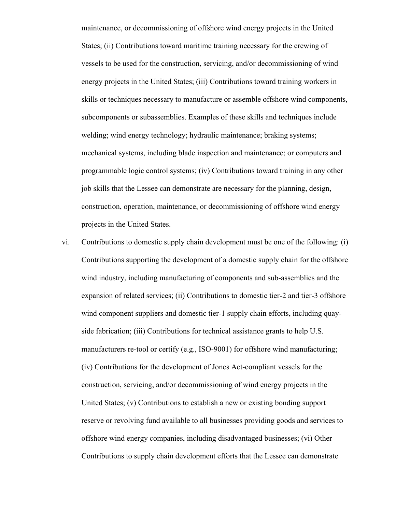maintenance, or decommissioning of offshore wind energy projects in the United States; (ii) Contributions toward maritime training necessary for the crewing of vessels to be used for the construction, servicing, and/or decommissioning of wind energy projects in the United States; (iii) Contributions toward training workers in skills or techniques necessary to manufacture or assemble offshore wind components, subcomponents or subassemblies. Examples of these skills and techniques include welding; wind energy technology; hydraulic maintenance; braking systems; mechanical systems, including blade inspection and maintenance; or computers and programmable logic control systems; (iv) Contributions toward training in any other job skills that the Lessee can demonstrate are necessary for the planning, design, construction, operation, maintenance, or decommissioning of offshore wind energy projects in the United States.

vi. Contributions to domestic supply chain development must be one of the following: (i) Contributions supporting the development of a domestic supply chain for the offshore wind industry, including manufacturing of components and sub-assemblies and the expansion of related services; (ii) Contributions to domestic tier-2 and tier-3 offshore wind component suppliers and domestic tier-1 supply chain efforts, including quayside fabrication; (iii) Contributions for technical assistance grants to help U.S. manufacturers re-tool or certify (e.g., ISO-9001) for offshore wind manufacturing; (iv) Contributions for the development of Jones Act-compliant vessels for the construction, servicing, and/or decommissioning of wind energy projects in the United States; (v) Contributions to establish a new or existing bonding support reserve or revolving fund available to all businesses providing goods and services to offshore wind energy companies, including disadvantaged businesses; (vi) Other Contributions to supply chain development efforts that the Lessee can demonstrate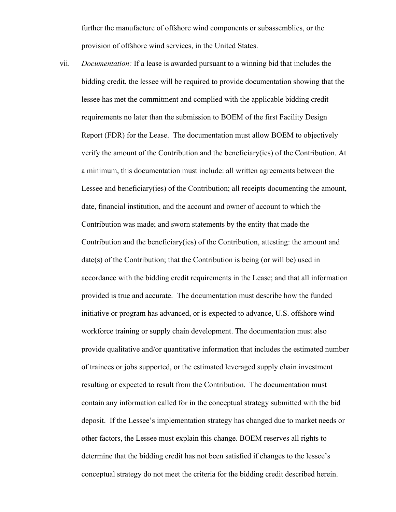further the manufacture of offshore wind components or subassemblies, or the provision of offshore wind services, in the United States.

vii. *Documentation:* If a lease is awarded pursuant to a winning bid that includes the bidding credit, the lessee will be required to provide documentation showing that the lessee has met the commitment and complied with the applicable bidding credit requirements no later than the submission to BOEM of the first Facility Design Report (FDR) for the Lease. The documentation must allow BOEM to objectively verify the amount of the Contribution and the beneficiary(ies) of the Contribution. At a minimum, this documentation must include: all written agreements between the Lessee and beneficiary(ies) of the Contribution; all receipts documenting the amount, date, financial institution, and the account and owner of account to which the Contribution was made; and sworn statements by the entity that made the Contribution and the beneficiary(ies) of the Contribution, attesting: the amount and date(s) of the Contribution; that the Contribution is being (or will be) used in accordance with the bidding credit requirements in the Lease; and that all information provided is true and accurate. The documentation must describe how the funded initiative or program has advanced, or is expected to advance, U.S. offshore wind workforce training or supply chain development. The documentation must also provide qualitative and/or quantitative information that includes the estimated number of trainees or jobs supported, or the estimated leveraged supply chain investment resulting or expected to result from the Contribution. The documentation must contain any information called for in the conceptual strategy submitted with the bid deposit. If the Lessee's implementation strategy has changed due to market needs or other factors, the Lessee must explain this change. BOEM reserves all rights to determine that the bidding credit has not been satisfied if changes to the lessee's conceptual strategy do not meet the criteria for the bidding credit described herein.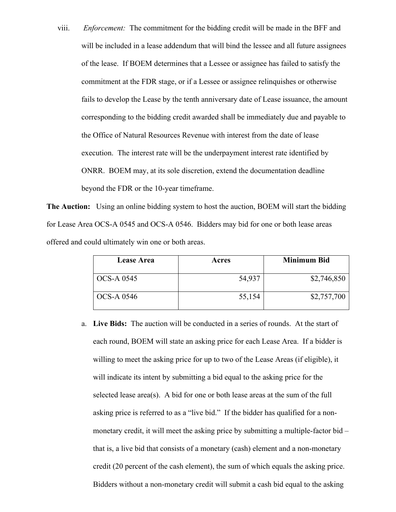viii. *Enforcement:* The commitment for the bidding credit will be made in the BFF and will be included in a lease addendum that will bind the lessee and all future assignees of the lease. If BOEM determines that a Lessee or assignee has failed to satisfy the commitment at the FDR stage, or if a Lessee or assignee relinquishes or otherwise fails to develop the Lease by the tenth anniversary date of Lease issuance, the amount corresponding to the bidding credit awarded shall be immediately due and payable to the Office of Natural Resources Revenue with interest from the date of lease execution. The interest rate will be the underpayment interest rate identified by ONRR. BOEM may, at its sole discretion, extend the documentation deadline beyond the FDR or the 10-year timeframe.

**The Auction:** Using an online bidding system to host the auction, BOEM will start the bidding for Lease Area OCS-A 0545 and OCS-A 0546. Bidders may bid for one or both lease areas offered and could ultimately win one or both areas.

| <b>Lease Area</b> | Acres  | <b>Minimum Bid</b> |
|-------------------|--------|--------------------|
| OCS-A 0545        | 54,937 | \$2,746,850        |
| <b>OCS-A 0546</b> | 55,154 | \$2,757,700        |

a. **Live Bids:** The auction will be conducted in a series of rounds. At the start of each round, BOEM will state an asking price for each Lease Area. If a bidder is willing to meet the asking price for up to two of the Lease Areas (if eligible), it will indicate its intent by submitting a bid equal to the asking price for the selected lease area(s). A bid for one or both lease areas at the sum of the full asking price is referred to as a "live bid." If the bidder has qualified for a nonmonetary credit, it will meet the asking price by submitting a multiple-factor bid – that is, a live bid that consists of a monetary (cash) element and a non-monetary credit (20 percent of the cash element), the sum of which equals the asking price. Bidders without a non-monetary credit will submit a cash bid equal to the asking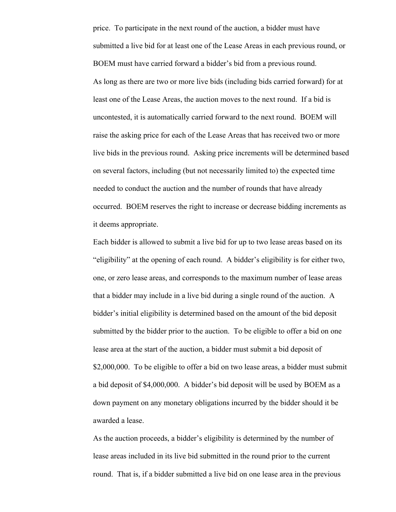price. To participate in the next round of the auction, a bidder must have submitted a live bid for at least one of the Lease Areas in each previous round, or BOEM must have carried forward a bidder's bid from a previous round. As long as there are two or more live bids (including bids carried forward) for at least one of the Lease Areas, the auction moves to the next round. If a bid is uncontested, it is automatically carried forward to the next round. BOEM will raise the asking price for each of the Lease Areas that has received two or more live bids in the previous round. Asking price increments will be determined based on several factors, including (but not necessarily limited to) the expected time needed to conduct the auction and the number of rounds that have already occurred. BOEM reserves the right to increase or decrease bidding increments as it deems appropriate.

Each bidder is allowed to submit a live bid for up to two lease areas based on its "eligibility" at the opening of each round. A bidder's eligibility is for either two, one, or zero lease areas, and corresponds to the maximum number of lease areas that a bidder may include in a live bid during a single round of the auction. A bidder's initial eligibility is determined based on the amount of the bid deposit submitted by the bidder prior to the auction. To be eligible to offer a bid on one lease area at the start of the auction, a bidder must submit a bid deposit of \$2,000,000. To be eligible to offer a bid on two lease areas, a bidder must submit a bid deposit of \$4,000,000. A bidder's bid deposit will be used by BOEM as a down payment on any monetary obligations incurred by the bidder should it be awarded a lease.

As the auction proceeds, a bidder's eligibility is determined by the number of lease areas included in its live bid submitted in the round prior to the current round. That is, if a bidder submitted a live bid on one lease area in the previous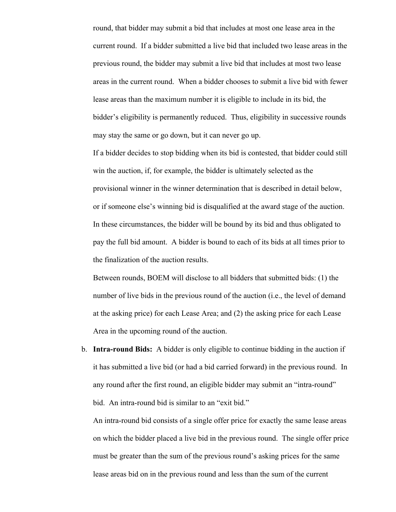round, that bidder may submit a bid that includes at most one lease area in the current round. If a bidder submitted a live bid that included two lease areas in the previous round, the bidder may submit a live bid that includes at most two lease areas in the current round. When a bidder chooses to submit a live bid with fewer lease areas than the maximum number it is eligible to include in its bid, the bidder's eligibility is permanently reduced. Thus, eligibility in successive rounds may stay the same or go down, but it can never go up.

If a bidder decides to stop bidding when its bid is contested, that bidder could still win the auction, if, for example, the bidder is ultimately selected as the provisional winner in the winner determination that is described in detail below, or if someone else's winning bid is disqualified at the award stage of the auction. In these circumstances, the bidder will be bound by its bid and thus obligated to pay the full bid amount. A bidder is bound to each of its bids at all times prior to the finalization of the auction results.

Between rounds, BOEM will disclose to all bidders that submitted bids: (1) the number of live bids in the previous round of the auction (i.e., the level of demand at the asking price) for each Lease Area; and (2) the asking price for each Lease Area in the upcoming round of the auction.

b. **Intra-round Bids:** A bidder is only eligible to continue bidding in the auction if it has submitted a live bid (or had a bid carried forward) in the previous round. In any round after the first round, an eligible bidder may submit an "intra-round" bid. An intra-round bid is similar to an "exit bid."

An intra-round bid consists of a single offer price for exactly the same lease areas on which the bidder placed a live bid in the previous round. The single offer price must be greater than the sum of the previous round's asking prices for the same lease areas bid on in the previous round and less than the sum of the current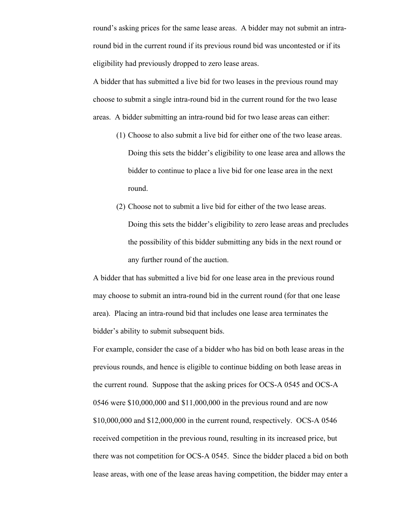round's asking prices for the same lease areas. A bidder may not submit an intraround bid in the current round if its previous round bid was uncontested or if its eligibility had previously dropped to zero lease areas.

A bidder that has submitted a live bid for two leases in the previous round may choose to submit a single intra-round bid in the current round for the two lease areas. A bidder submitting an intra-round bid for two lease areas can either:

- (1) Choose to also submit a live bid for either one of the two lease areas. Doing this sets the bidder's eligibility to one lease area and allows the bidder to continue to place a live bid for one lease area in the next round.
- (2) Choose not to submit a live bid for either of the two lease areas. Doing this sets the bidder's eligibility to zero lease areas and precludes the possibility of this bidder submitting any bids in the next round or any further round of the auction.

A bidder that has submitted a live bid for one lease area in the previous round may choose to submit an intra-round bid in the current round (for that one lease area). Placing an intra-round bid that includes one lease area terminates the bidder's ability to submit subsequent bids.

For example, consider the case of a bidder who has bid on both lease areas in the previous rounds, and hence is eligible to continue bidding on both lease areas in the current round. Suppose that the asking prices for OCS-A 0545 and OCS-A 0546 were \$10,000,000 and \$11,000,000 in the previous round and are now \$10,000,000 and \$12,000,000 in the current round, respectively. OCS-A 0546 received competition in the previous round, resulting in its increased price, but there was not competition for OCS-A 0545. Since the bidder placed a bid on both lease areas, with one of the lease areas having competition, the bidder may enter a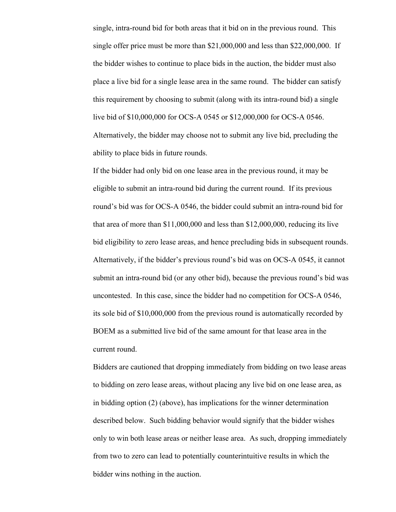single, intra-round bid for both areas that it bid on in the previous round. This single offer price must be more than \$21,000,000 and less than \$22,000,000. If the bidder wishes to continue to place bids in the auction, the bidder must also place a live bid for a single lease area in the same round. The bidder can satisfy this requirement by choosing to submit (along with its intra-round bid) a single live bid of \$10,000,000 for OCS-A 0545 or \$12,000,000 for OCS-A 0546. Alternatively, the bidder may choose not to submit any live bid, precluding the ability to place bids in future rounds.

If the bidder had only bid on one lease area in the previous round, it may be eligible to submit an intra-round bid during the current round. If its previous round's bid was for OCS-A 0546, the bidder could submit an intra-round bid for that area of more than \$11,000,000 and less than \$12,000,000, reducing its live bid eligibility to zero lease areas, and hence precluding bids in subsequent rounds. Alternatively, if the bidder's previous round's bid was on OCS-A 0545, it cannot submit an intra-round bid (or any other bid), because the previous round's bid was uncontested. In this case, since the bidder had no competition for OCS-A 0546, its sole bid of \$10,000,000 from the previous round is automatically recorded by BOEM as a submitted live bid of the same amount for that lease area in the current round.

Bidders are cautioned that dropping immediately from bidding on two lease areas to bidding on zero lease areas, without placing any live bid on one lease area, as in bidding option (2) (above), has implications for the winner determination described below. Such bidding behavior would signify that the bidder wishes only to win both lease areas or neither lease area. As such, dropping immediately from two to zero can lead to potentially counterintuitive results in which the bidder wins nothing in the auction.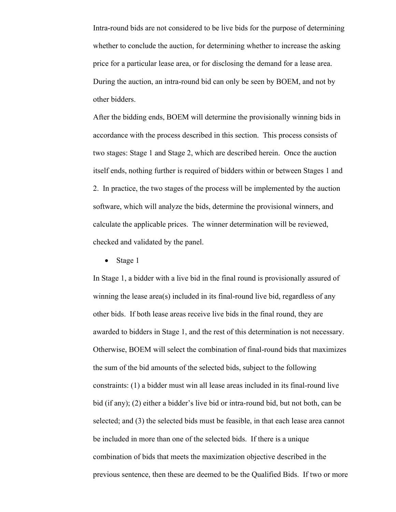Intra-round bids are not considered to be live bids for the purpose of determining whether to conclude the auction, for determining whether to increase the asking price for a particular lease area, or for disclosing the demand for a lease area. During the auction, an intra-round bid can only be seen by BOEM, and not by other bidders.

After the bidding ends, BOEM will determine the provisionally winning bids in accordance with the process described in this section. This process consists of two stages: Stage 1 and Stage 2, which are described herein. Once the auction itself ends, nothing further is required of bidders within or between Stages 1 and 2. In practice, the two stages of the process will be implemented by the auction software, which will analyze the bids, determine the provisional winners, and calculate the applicable prices. The winner determination will be reviewed, checked and validated by the panel.

• Stage 1

In Stage 1, a bidder with a live bid in the final round is provisionally assured of winning the lease area(s) included in its final-round live bid, regardless of any other bids. If both lease areas receive live bids in the final round, they are awarded to bidders in Stage 1, and the rest of this determination is not necessary. Otherwise, BOEM will select the combination of final-round bids that maximizes the sum of the bid amounts of the selected bids, subject to the following constraints: (1) a bidder must win all lease areas included in its final-round live bid (if any); (2) either a bidder's live bid or intra-round bid, but not both, can be selected; and (3) the selected bids must be feasible, in that each lease area cannot be included in more than one of the selected bids. If there is a unique combination of bids that meets the maximization objective described in the previous sentence, then these are deemed to be the Qualified Bids. If two or more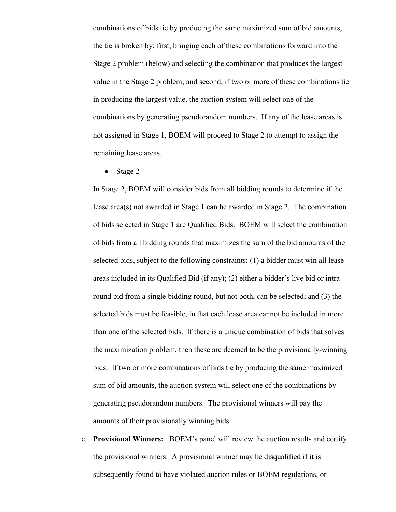combinations of bids tie by producing the same maximized sum of bid amounts, the tie is broken by: first, bringing each of these combinations forward into the Stage 2 problem (below) and selecting the combination that produces the largest value in the Stage 2 problem; and second, if two or more of these combinations tie in producing the largest value, the auction system will select one of the combinations by generating pseudorandom numbers. If any of the lease areas is not assigned in Stage 1, BOEM will proceed to Stage 2 to attempt to assign the remaining lease areas.

• Stage 2

In Stage 2, BOEM will consider bids from all bidding rounds to determine if the lease area(s) not awarded in Stage 1 can be awarded in Stage 2. The combination of bids selected in Stage 1 are Qualified Bids. BOEM will select the combination of bids from all bidding rounds that maximizes the sum of the bid amounts of the selected bids, subject to the following constraints: (1) a bidder must win all lease areas included in its Qualified Bid (if any); (2) either a bidder's live bid or intraround bid from a single bidding round, but not both, can be selected; and (3) the selected bids must be feasible, in that each lease area cannot be included in more than one of the selected bids. If there is a unique combination of bids that solves the maximization problem, then these are deemed to be the provisionally-winning bids. If two or more combinations of bids tie by producing the same maximized sum of bid amounts, the auction system will select one of the combinations by generating pseudorandom numbers. The provisional winners will pay the amounts of their provisionally winning bids.

c. **Provisional Winners:** BOEM's panel will review the auction results and certify the provisional winners. A provisional winner may be disqualified if it is subsequently found to have violated auction rules or BOEM regulations, or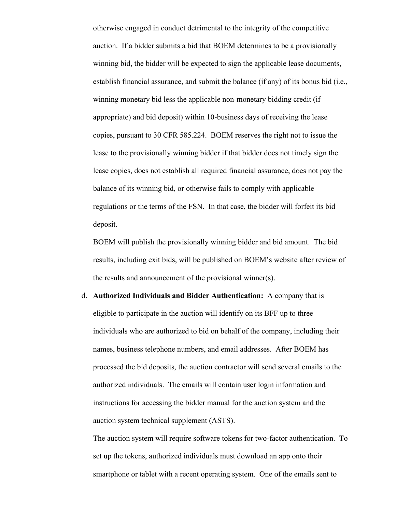otherwise engaged in conduct detrimental to the integrity of the competitive auction. If a bidder submits a bid that BOEM determines to be a provisionally winning bid, the bidder will be expected to sign the applicable lease documents, establish financial assurance, and submit the balance (if any) of its bonus bid (i.e., winning monetary bid less the applicable non-monetary bidding credit (if appropriate) and bid deposit) within 10-business days of receiving the lease copies, pursuant to 30 CFR 585.224. BOEM reserves the right not to issue the lease to the provisionally winning bidder if that bidder does not timely sign the lease copies, does not establish all required financial assurance, does not pay the balance of its winning bid, or otherwise fails to comply with applicable regulations or the terms of the FSN. In that case, the bidder will forfeit its bid deposit.

BOEM will publish the provisionally winning bidder and bid amount. The bid results, including exit bids, will be published on BOEM's website after review of the results and announcement of the provisional winner(s).

d. **Authorized Individuals and Bidder Authentication:** A company that is eligible to participate in the auction will identify on its BFF up to three individuals who are authorized to bid on behalf of the company, including their names, business telephone numbers, and email addresses. After BOEM has processed the bid deposits, the auction contractor will send several emails to the authorized individuals. The emails will contain user login information and instructions for accessing the bidder manual for the auction system and the auction system technical supplement (ASTS).

The auction system will require software tokens for two-factor authentication. To set up the tokens, authorized individuals must download an app onto their smartphone or tablet with a recent operating system. One of the emails sent to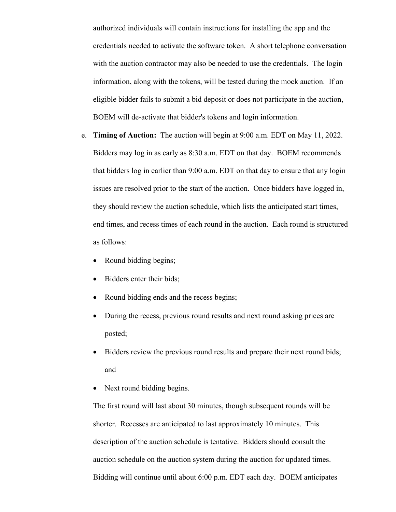authorized individuals will contain instructions for installing the app and the credentials needed to activate the software token. A short telephone conversation with the auction contractor may also be needed to use the credentials. The login information, along with the tokens, will be tested during the mock auction. If an eligible bidder fails to submit a bid deposit or does not participate in the auction, BOEM will de-activate that bidder's tokens and login information.

- e. **Timing of Auction:**The auction will begin at 9:00 a.m. EDT on May 11, 2022. Bidders may log in as early as 8:30 a.m. EDT on that day. BOEM recommends that bidders log in earlier than 9:00 a.m. EDT on that day to ensure that any login issues are resolved prior to the start of the auction. Once bidders have logged in, they should review the auction schedule, which lists the anticipated start times, end times, and recess times of each round in the auction. Each round is structured as follows:
	- Round bidding begins;
	- Bidders enter their bids;
	- Round bidding ends and the recess begins;
	- During the recess, previous round results and next round asking prices are posted;
	- Bidders review the previous round results and prepare their next round bids; and
	- Next round bidding begins.

The first round will last about 30 minutes, though subsequent rounds will be shorter. Recesses are anticipated to last approximately 10 minutes. This description of the auction schedule is tentative. Bidders should consult the auction schedule on the auction system during the auction for updated times. Bidding will continue until about 6:00 p.m. EDT each day. BOEM anticipates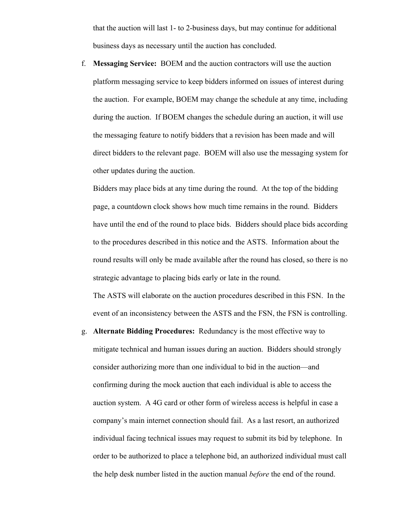that the auction will last 1- to 2-business days, but may continue for additional business days as necessary until the auction has concluded.

f. **Messaging Service:** BOEM and the auction contractors will use the auction platform messaging service to keep bidders informed on issues of interest during the auction. For example, BOEM may change the schedule at any time, including during the auction. If BOEM changes the schedule during an auction, it will use the messaging feature to notify bidders that a revision has been made and will direct bidders to the relevant page. BOEM will also use the messaging system for other updates during the auction.

Bidders may place bids at any time during the round. At the top of the bidding page, a countdown clock shows how much time remains in the round. Bidders have until the end of the round to place bids. Bidders should place bids according to the procedures described in this notice and the ASTS. Information about the round results will only be made available after the round has closed, so there is no strategic advantage to placing bids early or late in the round.

The ASTS will elaborate on the auction procedures described in this FSN. In the event of an inconsistency between the ASTS and the FSN, the FSN is controlling.

g. **Alternate Bidding Procedures:**Redundancy is the most effective way to mitigate technical and human issues during an auction. Bidders should strongly consider authorizing more than one individual to bid in the auction—and confirming during the mock auction that each individual is able to access the auction system. A 4G card or other form of wireless access is helpful in case a company's main internet connection should fail. As a last resort, an authorized individual facing technical issues may request to submit its bid by telephone. In order to be authorized to place a telephone bid, an authorized individual must call the help desk number listed in the auction manual *before* the end of the round.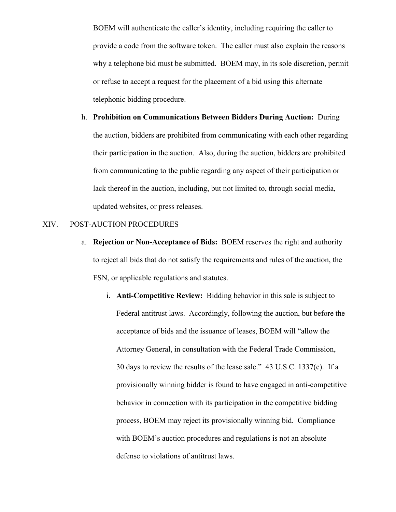BOEM will authenticate the caller's identity, including requiring the caller to provide a code from the software token. The caller must also explain the reasons why a telephone bid must be submitted. BOEM may, in its sole discretion, permit or refuse to accept a request for the placement of a bid using this alternate telephonic bidding procedure.

h. **Prohibition on Communications Between Bidders During Auction:**During the auction, bidders are prohibited from communicating with each other regarding their participation in the auction. Also, during the auction, bidders are prohibited from communicating to the public regarding any aspect of their participation or lack thereof in the auction, including, but not limited to, through social media, updated websites, or press releases.

## XIV. POST-AUCTION PROCEDURES

- a. **Rejection or Non-Acceptance of Bids:** BOEM reserves the right and authority to reject all bids that do not satisfy the requirements and rules of the auction, the FSN, or applicable regulations and statutes.
	- i. **Anti-Competitive Review:** Bidding behavior in this sale is subject to Federal antitrust laws. Accordingly, following the auction, but before the acceptance of bids and the issuance of leases, BOEM will "allow the Attorney General, in consultation with the Federal Trade Commission, 30 days to review the results of the lease sale." 43 U.S.C. 1337(c). If a provisionally winning bidder is found to have engaged in anti-competitive behavior in connection with its participation in the competitive bidding process, BOEM may reject its provisionally winning bid. Compliance with BOEM's auction procedures and regulations is not an absolute defense to violations of antitrust laws.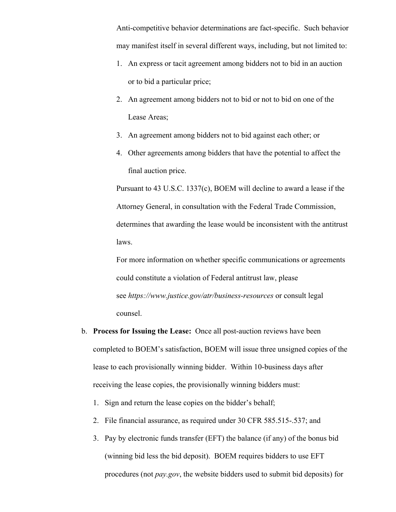Anti-competitive behavior determinations are fact-specific. Such behavior may manifest itself in several different ways, including, but not limited to:

- 1. An express or tacit agreement among bidders not to bid in an auction or to bid a particular price;
- 2. An agreement among bidders not to bid or not to bid on one of the Lease Areas;
- 3. An agreement among bidders not to bid against each other; or
- 4. Other agreements among bidders that have the potential to affect the final auction price.

Pursuant to 43 U.S.C. 1337(c), BOEM will decline to award a lease if the Attorney General, in consultation with the Federal Trade Commission, determines that awarding the lease would be inconsistent with the antitrust laws.

For more information on whether specific communications or agreements could constitute a violation of Federal antitrust law, please see *https://www.justice.gov/atr/business-resources* or consult legal counsel.

- b. **Process for Issuing the Lease:** Once all post-auction reviews have been completed to BOEM's satisfaction, BOEM will issue three unsigned copies of the lease to each provisionally winning bidder. Within 10-business days after receiving the lease copies, the provisionally winning bidders must:
	- 1. Sign and return the lease copies on the bidder's behalf;
	- 2. File financial assurance, as required under 30 CFR 585.515-.537; and
	- 3. Pay by electronic funds transfer (EFT) the balance (if any) of the bonus bid (winning bid less the bid deposit). BOEM requires bidders to use EFT procedures (not *pay.gov*, the website bidders used to submit bid deposits) for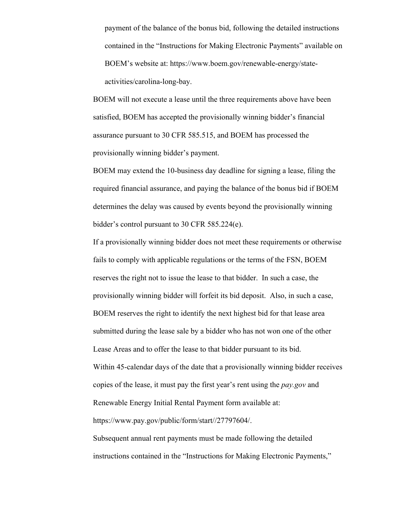payment of the balance of the bonus bid, following the detailed instructions contained in the "Instructions for Making Electronic Payments" available on BOEM's website at: https://www.boem.gov/renewable-energy/stateactivities/carolina-long-bay.

BOEM will not execute a lease until the three requirements above have been satisfied, BOEM has accepted the provisionally winning bidder's financial assurance pursuant to 30 CFR 585.515, and BOEM has processed the provisionally winning bidder's payment.

BOEM may extend the 10-business day deadline for signing a lease, filing the required financial assurance, and paying the balance of the bonus bid if BOEM determines the delay was caused by events beyond the provisionally winning bidder's control pursuant to 30 CFR 585.224(e).

If a provisionally winning bidder does not meet these requirements or otherwise fails to comply with applicable regulations or the terms of the FSN, BOEM reserves the right not to issue the lease to that bidder. In such a case, the provisionally winning bidder will forfeit its bid deposit. Also, in such a case, BOEM reserves the right to identify the next highest bid for that lease area submitted during the lease sale by a bidder who has not won one of the other Lease Areas and to offer the lease to that bidder pursuant to its bid. Within 45-calendar days of the date that a provisionally winning bidder receives copies of the lease, it must pay the first year's rent using the *pay.gov* and Renewable Energy Initial Rental Payment form available at: https://www.pay.gov/public/form/start//27797604/.

Subsequent annual rent payments must be made following the detailed instructions contained in the "Instructions for Making Electronic Payments,"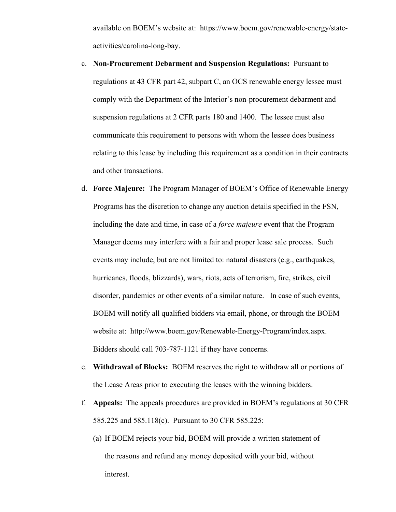available on BOEM's website at: https://www.boem.gov/renewable-energy/stateactivities/carolina-long-bay.

- c. **Non-Procurement Debarment and Suspension Regulations:** Pursuant to regulations at 43 CFR part 42, subpart C, an OCS renewable energy lessee must comply with the Department of the Interior's non-procurement debarment and suspension regulations at 2 CFR parts 180 and 1400. The lessee must also communicate this requirement to persons with whom the lessee does business relating to this lease by including this requirement as a condition in their contracts and other transactions.
- d. **Force Majeure:** The Program Manager of BOEM's Office of Renewable Energy Programs has the discretion to change any auction details specified in the FSN, including the date and time, in case of a *force majeure* event that the Program Manager deems may interfere with a fair and proper lease sale process. Such events may include, but are not limited to: natural disasters (e.g., earthquakes, hurricanes, floods, blizzards), wars, riots, acts of terrorism, fire, strikes, civil disorder, pandemics or other events of a similar nature. In case of such events, BOEM will notify all qualified bidders via email, phone, or through the BOEM website at: http://www.boem.gov/Renewable-Energy-Program/index.aspx. Bidders should call 703-787-1121 if they have concerns.
- e. **Withdrawal of Blocks:** BOEM reserves the right to withdraw all or portions of the Lease Areas prior to executing the leases with the winning bidders.
- f. **Appeals:** The appeals procedures are provided in BOEM's regulations at 30 CFR 585.225 and 585.118(c). Pursuant to 30 CFR 585.225:
	- (a) If BOEM rejects your bid, BOEM will provide a written statement of the reasons and refund any money deposited with your bid, without interest.